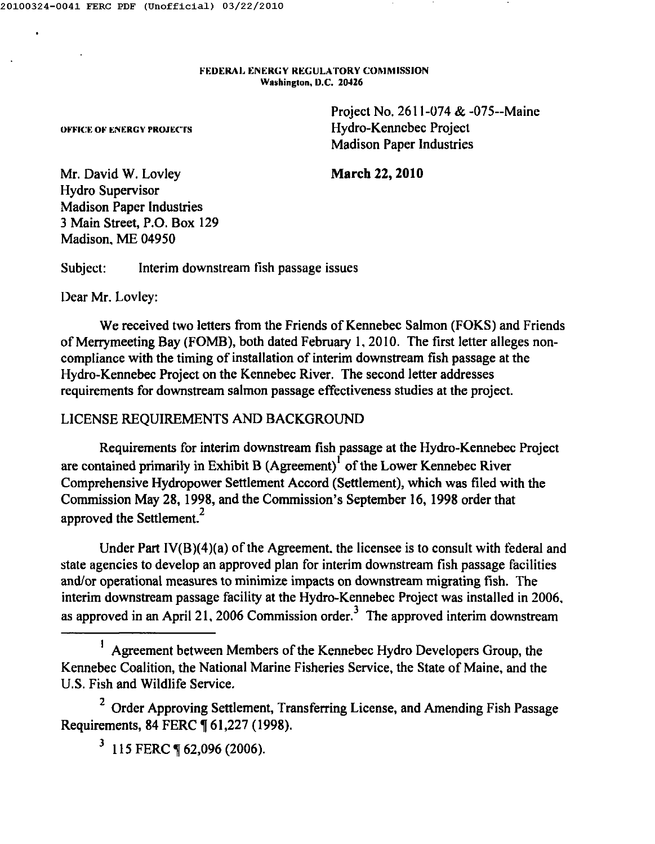#### FEDERAL ENERGY REGULATORY COMMISSION Washington. D.C. 20426

Project No. 2611-074 & -075--Mainc Hydro-Kennebec Project Madison Paper Industries

#### **March** 22, **2010**

Mr. David W. Lovley Hydro Supervisor Madison Paper Industries 3 Main Street, P.O. Box 129 Madison. ME 04950

OFFICE OF ENERGY PROJECTS

Subject: Interim downstream tish passage issues

Dear Mr. Lovley:

We received two letters from the Friends of Kennebec Salmon (FOKS) and Friends of Merrymeeting Bay (FOMB), both dated February 1.2010. The first letter alleges noncompliance with the timing of installation of interim downstream fish passage at the Hydro-Kennebec Project on the Kennebec River. The second letter addresses requirements for downstream salmon passage effectiveness studies at the project.

# LICENSE REQUIREMENTS AND BACKGROUND

Requirements for interim downstream fish passage at the Hydro-Kennebec Project are contained primarily in Exhibit B (Agreement)<sup> $1$ </sup> of the Lower Kennebec River Comprehensive Hydropower Settlement Accord (Settlement), which was filed with the Commission May 28, 1998, and the Commission's September 16, 1998 order that approved the Settlement.<sup>2</sup>

Under Part IV(B)(4)(a) of the Agreement. the licensee is to consult with federal and state agencies to develop an approved plan for interim downstream tish passage facilities and/or operational measures to minimize impacts on downstream migrating fish. The interim downstream passage facility at the Hydro-Kennebec Project was installed in 2006. as approved in an April 21, 2006 Commission order.<sup>3</sup> The approved interim downstrean

<sup>1</sup> Agreement between Members of the Kennebec Hydro Developers Group, the Kennebec Coalition, the National Marine Fisheries Service, the State of Maine, and the U.S. Fish and Wildlife Service.

<sup>2</sup> Order Approving Settlement, Transferring License, and Amending Fish Passage Requirements, 84 FERC ¶ 61,227 (1998).

 $3$  115 FERC ¶ 62,096 (2006).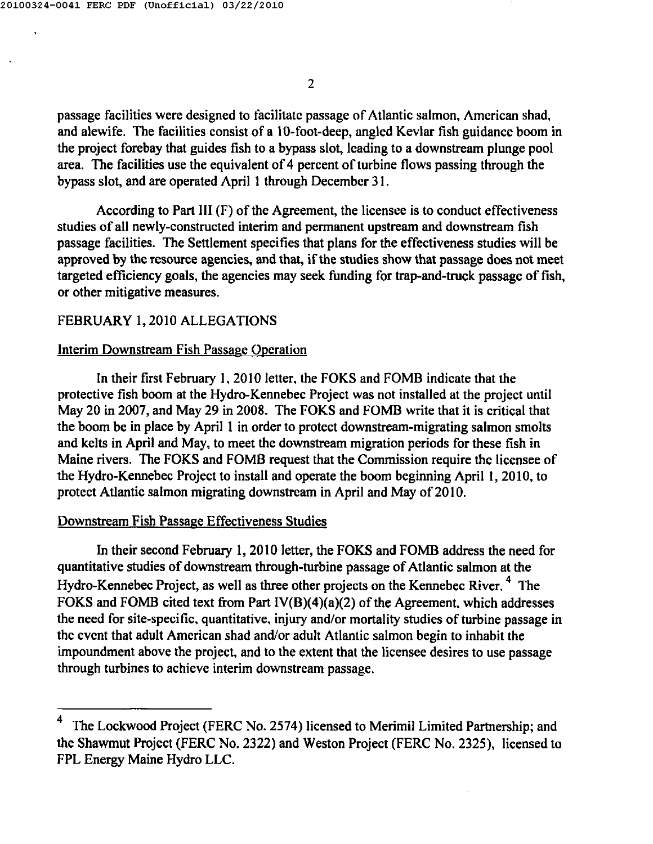passage facilities were designed to facilitatc passage of Atlantic salmon, Amcrican shad, and alewife. The facilities consist of a IO-foot-deep, angled Kevlar fish guidance boom in the project forebay that guides fish to a bypass slot, leading to a downstream plunge pool area. The facilities use the equivalent of 4 percent of turbine flows passing through the bypass slot, and are operated April 1 through December 31.

According to Part III (F) of the Agreement, the licensee is to conduct effectiveness studies of all newly-constructed interim and permanent upstream and downstream fish passage facilities. The Settlement specifies that plans for the effectiveness studies will be approved by the resource agencies, and that, if the studies show that passage does not meet targeted efficiency goals, the agencies may seek funding for trap-and-truck passage of fish, or other mitigative measures.

# FEBRUARY 1, 2010 ALLEGATIONS

# Interim Downstream Fish Passage Operation

In their first February I.<sup>2010</sup> letter. the FOKS and FOMB indicate that the protective fish boom at the Hydro-Kennebec Project was not installed at the project until May 20 in 2007, and May 29 in 2008. The FOKS and FOMB write that it is critical that the boom be in place by April I in order to protect downstream-migrating salmon smolts and kelts in April and May, to meet the downstream migration periods for these fish in Maine rivers. The FOKS and FOMB request that the Commission require the licensee of the Hydro-Kennebec Project to install and operate the boom beginning April I, 2010, to protect Atlantic salmon migrating downstream in April and May of201O.

# Downstream Fish Passage Effectiveness Studies

In their second February 1,2010 letter, the FOKS and FOMB address the need for quantitative studies of downstream through-turbine passage of Atlantic salmon at the Hydro-Kennebec Project, as well as three other projects on the Kennebec River.<sup>4</sup> The FOKS and FOMB cited text from Part IV(B)(4)(a)(2) of the Agreement. which addresses the need for site-specific. quantitative. injury and/or mortality studies of turbine passage in the event that adult American shad and/or adult Atlantic salmon begin to inhabit the impoundment above the project. and to the extent that the licensee desires to use passage through turbines to achieve interim downstream passage.

The Lockwood Project (FERC No. 2574) licensed to Merimil Limited Partnership; and the Shawmut Project (FERC No. 2322) and Weston Project (FERC No. 2325), licensed to FPL Energy Maine Hydro LLC.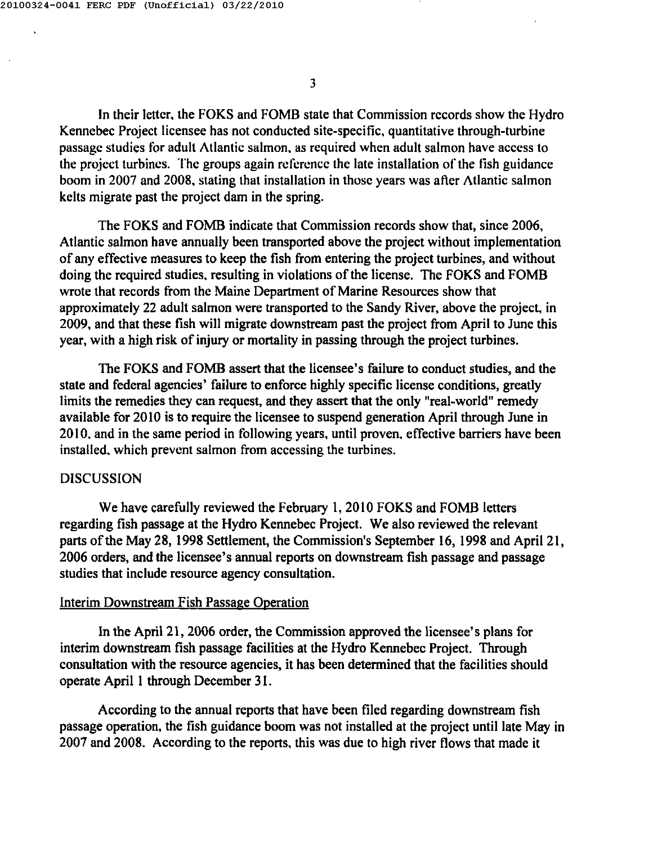In their letter, the FOKS and FOMB state that Commission records show the Hydro Kennebec Project licensee has not conducted site-specific, quantitative through-turbine passage studies for adult Atlantic salmon, as required when adult salmon have access to the project turbines. The groups again referencc the late installation of the fish guidance boom in 2007 and 2008, stating that installation in those years was atler Atlantic salmon kelts migrate past the project dam in the spring.

The FOKS and FOMB indicate that Commission records show that, since 2006, Atlantic salmon have annually been transported above the project without implementation of any effective measures to keep the fish from entering the project turbines, and without doing the required studies, resulting in violations of the license. The FOKS and FOMB wrote that records from the Maine Department of Marine Resources show that approximately 22 adult salmon were transported to the Sandy River, above the project, in 2009, and that these fish will migrate downstream past the project from April to June this year, with a high risk of injury or mortality in passing through the project turbines.

The FOKS and FOMB assert that the licensee's failure to conduct studies, and the state and federal agencies' failure to enforce highly specific license conditions, greatly limits the remedies they can request, and they assert that the only "real-world" remedy available for 2010 is to require the licensee to suspend generation April through June in 2010, and in the same period in following years, until proven, effective barriers have been installed. which prevent salmon from accessing the turbines.

## DISCUSSION

We have carefully reviewed the February 1, 2010 FOKS and FOMB letters regarding fish passage at the Hydro Kennebec Project. We also reviewed the relevant parts of the May 28, 1998 Settlement, the Commission's September 16, 1998 and April 21, 2006 orders, and the licensee's annual reports on downstream fish passage and passage studies that include resource agency consultation.

## Interim Downstream Fish Passage Operation

In the April 21, 2006 order, the Commission approved the licensee's plans for interim downstream fish passage facilities at the Hydro Kennebec Project. Through consultation with the resource agencies, it has been determined that the facilities should operate April 1 through December 31.

According to the annual reports that have been filed regarding downstream fish passage operation, the fish guidance boom was not installed at the project until late May in 2007 and 2008. According to the reports, this was due to high river flows that made it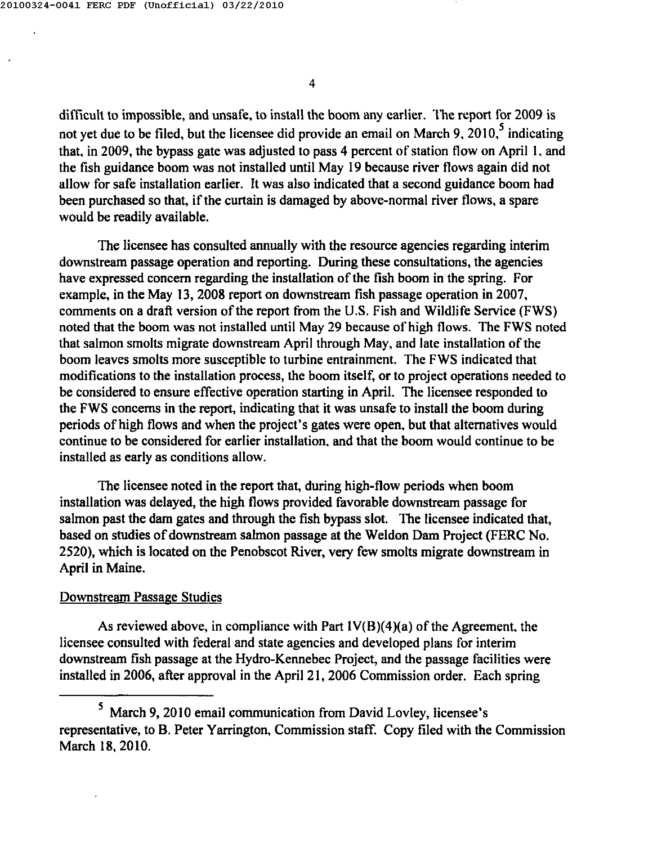difficult to impossible, and unsafe, to install the boom any earlier. The report for 2009 is not yet due to be filed, but the licensee did provide an email on March 9,  $2010$ ,  $5$  indicating that, in 2009, the bypass gate was adjusted to pass 4 percent of station flow on April 1, and the fish guidance boom was not installed until May 19 because river tlows again did not allow for safe installation earlier. It was also indicated that a second guidance boom had been purchased so that, if the curtain is damaged by above-normal river tlows, a spare would be readily available.

The licensee has consulted annually with the resource agencies regarding interim downstream passage operation and reporting. During these consultations, the agencies have expressed concern regarding the installation of the fish boom in the spring. For example, in the May 13,2008 report on downstream fish passage operation in 2007, comments on a draft version of the report from the U.S. Fish and Wildlife Service (FWS) noted that the boom was not installed until May 29 because of high flows. The FWS noted that salmon smolts migrate downstream April through May, and late installation of the boom leaves smolts more susceptible to turbine entrainment. The FWS indicated that modifications to the installation process, the boom itself, or to project operations needed to be considered to ensure effective operation starting in April. The licensee responded to the FWS concerns in the report, indicating that it was unsafe to install the boom during periods of high flows and when the project's gates were open, but that alternatives would continue to be considered for earlier installation. and that the boom would continue to be installed as early as conditions allow.

The licensee noted in the report that, during high-tlow periods when boom installation was delayed, the high flows provided favorable downstream passage for salmon past the dam gates and through the fish bypass slot. The licensee indicated that, based on studies of downstream salmon passage at the Weldon Dam Project (FERC No. 2520), which is located on the Penobscot River, very few smolts migrate downstream in April in Maine.

# Downstream Passage Studies

As reviewed above, in compliance with Part  $IV(B)(4)(a)$  of the Agreement, the licensee consulted with federal and state agencies and developed plans for interim downstream fish passage at the Hydro-Kennebec Project, and the passage facilities were installed in 2006, after approval in the April 21, 2006 Commission order. Each spring

<sup>5</sup> March 9,2010 email communication from David Lovley, licensee's representative, to B. Peter Yarrington, Commission staff. Copy filed with the Commission March 18,2010.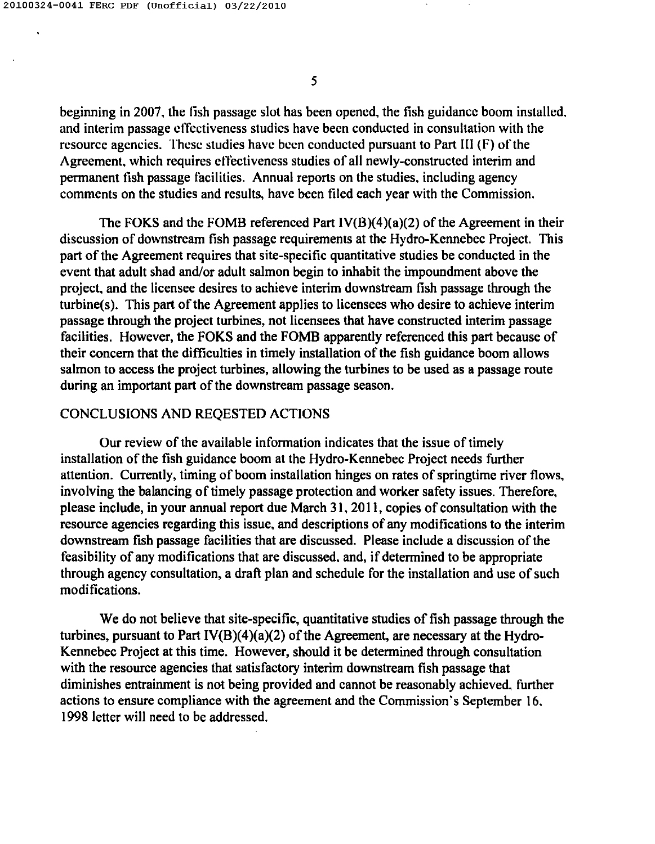beginning in 2007. the fish passage slot has been opened. the fish guidance boom installed. and interim passage effectiveness studies have been conducted in consultation with the resource agencies. These studies have been conducted pursuant to Part III (F) of the Agreement. which requires effectiveness studies of all newly-constructed interim and permanent fish passage facilities. Annual reports on the studies. including agency comments on the studies and results. have been filed each year with the Commission.

The FOKS and the FOMB referenced Part IV(B)(4)(a)(2) of the Agreement in their discussion of downstream fish passage requirements at the Hydro-Kennebec Project. This part of the Agreement requires that site-specific quantitative studies be conducted in the event that adult shad and/or adult salmon begin to inhabit the impoundment above the project. and the licensee desires to achieve interim downstream fish passage through the turbine(s). This part of the Agreement applies to licensees who desire to achieve interim passage through the project turbines, not licensees that have constructed interim passage facilities. However, the FOKS and the FOMB apparently referenced this part because of their concern that the difficulties in timely installation of the fish guidance boom allows salmon to access the project turbines, allowing the turbines to be used as a passage route during an important part of the downstream passage season.

# CONCLUSIONS AND REQESTED ACTIONS

Our review of the available information indicates that the issue of timely installation of the fish guidance boom at the Hydro-Kennebec Project needs further attention. Currently, timing of boom installation hinges on rates of springtime river flows. involving the balancing of timely passage protection and worker safety issues. Therefore. please include, in your annual report due March 31, 20 II, copies of consultation with the resource agencies regarding this issue. and descriptions of any modifications to the interim downstream fish passage facilities that are discussed. Please include a discussion of the feasibility of any modifications that are discussed. and, if determined to be appropriate through agency consultation, a draft plan and schedule for the installation and use of such modi fications.

We do not believe that site-specific, quantitative studies of fish passage through the turbines, pursuant to Part IV(B)(4)(a)(2) of the Agreement, are necessary at the Hydro-Kennebec Project at this time. However, should it be determined through consultation with the resource agencies that satisfactory interim downstream fish passage that diminishes entrainment is not being provided and cannot be reasonably achieved. further actions to ensure compliance with the agreement and the Commission's September 16. 1998 letter will need to be addressed.